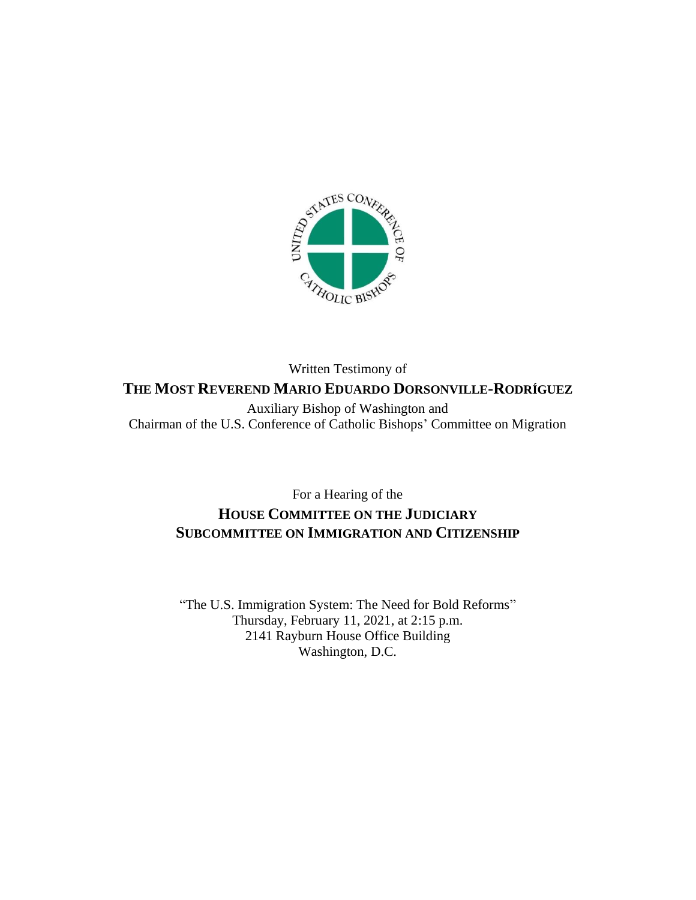

# Written Testimony of **THE MOST REVEREND MARIO EDUARDO DORSONVILLE-RODRÍGUEZ** Auxiliary Bishop of Washington and

Chairman of the U.S. Conference of Catholic Bishops' Committee on Migration

# For a Hearing of the **HOUSE COMMITTEE ON THE JUDICIARY SUBCOMMITTEE ON IMMIGRATION AND CITIZENSHIP**

"The U.S. Immigration System: The Need for Bold Reforms" Thursday, February 11, 2021, at 2:15 p.m. 2141 Rayburn House Office Building Washington, D.C.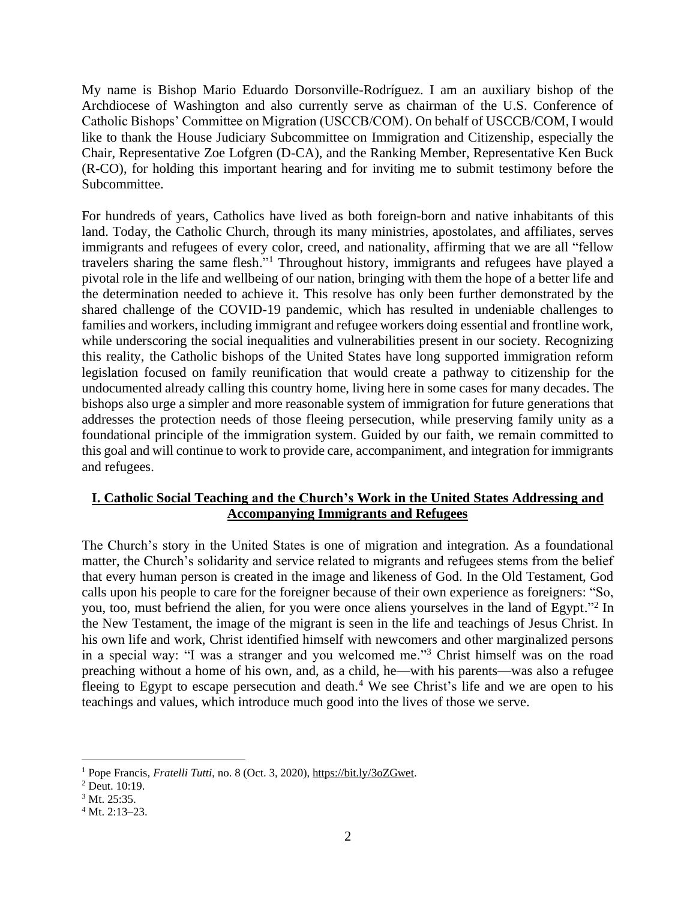My name is Bishop Mario Eduardo Dorsonville-Rodríguez. I am an auxiliary bishop of the Archdiocese of Washington and also currently serve as chairman of the U.S. Conference of Catholic Bishops' Committee on Migration (USCCB/COM). On behalf of USCCB/COM, I would like to thank the House Judiciary Subcommittee on Immigration and Citizenship, especially the Chair, Representative Zoe Lofgren (D-CA), and the Ranking Member, Representative Ken Buck (R-CO), for holding this important hearing and for inviting me to submit testimony before the Subcommittee.

For hundreds of years, Catholics have lived as both foreign-born and native inhabitants of this land. Today, the Catholic Church, through its many ministries, apostolates, and affiliates, serves immigrants and refugees of every color, creed, and nationality, affirming that we are all "fellow travelers sharing the same flesh." <sup>1</sup> Throughout history, immigrants and refugees have played a pivotal role in the life and wellbeing of our nation, bringing with them the hope of a better life and the determination needed to achieve it. This resolve has only been further demonstrated by the shared challenge of the COVID-19 pandemic, which has resulted in undeniable challenges to families and workers, including immigrant and refugee workers doing essential and frontline work, while underscoring the social inequalities and vulnerabilities present in our society. Recognizing this reality, the Catholic bishops of the United States have long supported immigration reform legislation focused on family reunification that would create a pathway to citizenship for the undocumented already calling this country home, living here in some cases for many decades. The bishops also urge a simpler and more reasonable system of immigration for future generations that addresses the protection needs of those fleeing persecution, while preserving family unity as a foundational principle of the immigration system. Guided by our faith, we remain committed to this goal and will continue to work to provide care, accompaniment, and integration for immigrants and refugees.

## **I. Catholic Social Teaching and the Church's Work in the United States Addressing and Accompanying Immigrants and Refugees**

The Church's story in the United States is one of migration and integration. As a foundational matter, the Church's solidarity and service related to migrants and refugees stems from the belief that every human person is created in the image and likeness of God. In the Old Testament, God calls upon his people to care for the foreigner because of their own experience as foreigners: "So, you, too, must befriend the alien, for you were once aliens yourselves in the land of Egypt."<sup>2</sup> In the New Testament, the image of the migrant is seen in the life and teachings of Jesus Christ. In his own life and work, Christ identified himself with newcomers and other marginalized persons in a special way: "I was a stranger and you welcomed me."<sup>3</sup> Christ himself was on the road preaching without a home of his own, and, as a child, he—with his parents—was also a refugee fleeing to Egypt to escape persecution and death.<sup>4</sup> We see Christ's life and we are open to his teachings and values, which introduce much good into the lives of those we serve.

<sup>1</sup> Pope Francis, *Fratelli Tutti*, no. 8 (Oct. 3, 2020), [https://bit.ly/3oZGwet.](https://bit.ly/3oZGwet)

<sup>2</sup> Deut. 10:19.

<sup>&</sup>lt;sup>3</sup> Mt. 25:35.

 $4$  Mt. 2:13-23.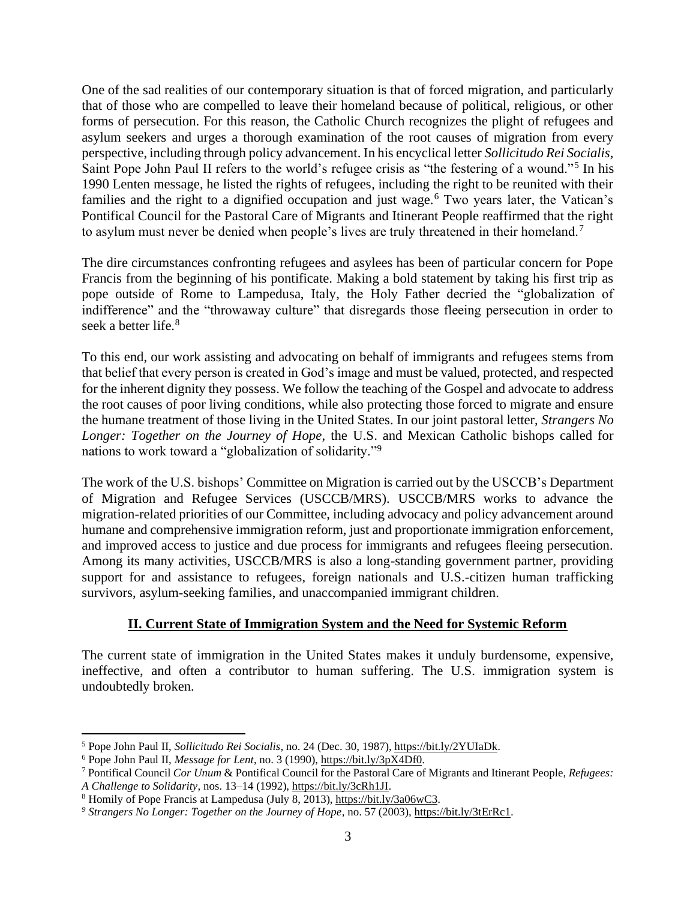One of the sad realities of our contemporary situation is that of forced migration, and particularly that of those who are compelled to leave their homeland because of political, religious, or other forms of persecution. For this reason, the Catholic Church recognizes the plight of refugees and asylum seekers and urges a thorough examination of the root causes of migration from every perspective, including through policy advancement. In his encyclical letter *Sollicitudo Rei Socialis*, Saint Pope John Paul II refers to the world's refugee crisis as "the festering of a wound."<sup>5</sup> In his 1990 Lenten message, he listed the rights of refugees, including the right to be reunited with their families and the right to a dignified occupation and just wage.<sup>6</sup> Two years later, the Vatican's Pontifical Council for the Pastoral Care of Migrants and Itinerant People reaffirmed that the right to asylum must never be denied when people's lives are truly threatened in their homeland.<sup>7</sup>

The dire circumstances confronting refugees and asylees has been of particular concern for Pope Francis from the beginning of his pontificate. Making a bold statement by taking his first trip as pope outside of Rome to Lampedusa, Italy, the Holy Father decried the "globalization of indifference" and the "throwaway culture" that disregards those fleeing persecution in order to seek a better life.<sup>8</sup>

To this end, our work assisting and advocating on behalf of immigrants and refugees stems from that belief that every person is created in God's image and must be valued, protected, and respected for the inherent dignity they possess. We follow the teaching of the Gospel and advocate to address the root causes of poor living conditions, while also protecting those forced to migrate and ensure the humane treatment of those living in the United States. In our joint pastoral letter, *Strangers No Longer: Together on the Journey of Hope*, the U.S. and Mexican Catholic bishops called for nations to work toward a "globalization of solidarity."<sup>9</sup>

The work of the U.S. bishops' Committee on Migration is carried out by the USCCB's Department of Migration and Refugee Services (USCCB/MRS). USCCB/MRS works to advance the migration-related priorities of our Committee, including advocacy and policy advancement around humane and comprehensive immigration reform, just and proportionate immigration enforcement, and improved access to justice and due process for immigrants and refugees fleeing persecution. Among its many activities, USCCB/MRS is also a long-standing government partner, providing support for and assistance to refugees, foreign nationals and U.S.-citizen human trafficking survivors, asylum-seeking families, and unaccompanied immigrant children.

# **II. Current State of Immigration System and the Need for Systemic Reform**

The current state of immigration in the United States makes it unduly burdensome, expensive, ineffective, and often a contributor to human suffering. The U.S. immigration system is undoubtedly broken.

<sup>5</sup> Pope John Paul II, *Sollicitudo Rei Socialis*, no. 24 (Dec. 30, 1987), [https://bit.ly/2YUIaDk.](https://bit.ly/2YUIaDk)

<sup>6</sup> Pope John Paul II, *Message for Lent*, no. 3 (1990), [https://bit.ly/3pX4Df0.](https://bit.ly/3pX4Df0)

<sup>7</sup> Pontifical Council *Cor Unum* & Pontifical Council for the Pastoral Care of Migrants and Itinerant People, *Refugees: A Challenge to Solidarity*, nos. 13–14 (1992), [https://bit.ly/3cRh1JI.](https://bit.ly/3cRh1JI)

<sup>8</sup> Homily of Pope Francis at Lampedusa (July 8, 2013), [https://bit.ly/3a06wC3.](https://bit.ly/3a06wC3)

*<sup>9</sup> Strangers No Longer: Together on the Journey of Hope*, no. 57 (2003)[, https://bit.ly/3tErRc1.](https://bit.ly/3tErRc1)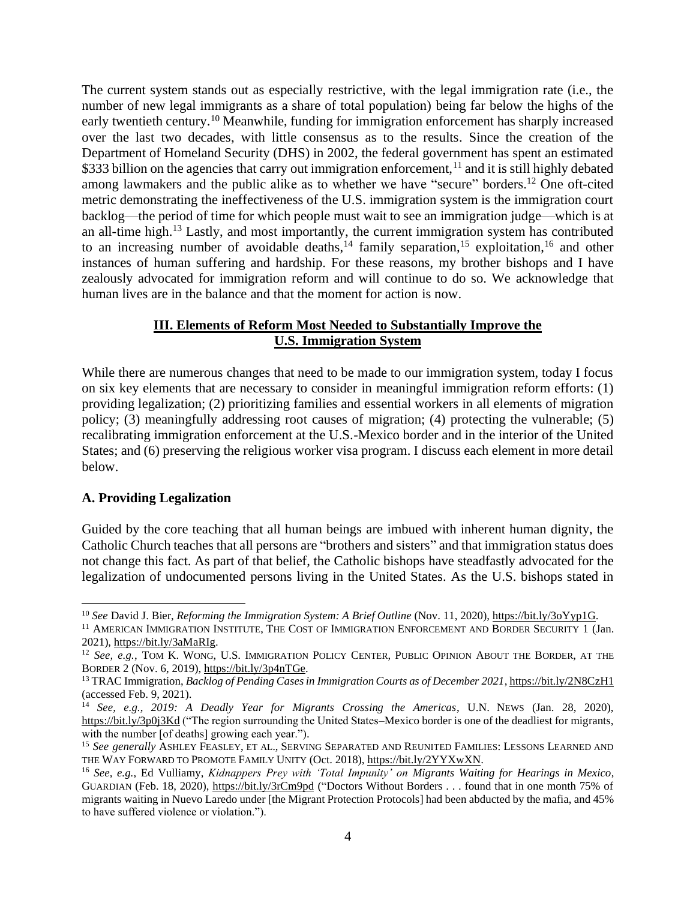The current system stands out as especially restrictive, with the legal immigration rate (i.e., the number of new legal immigrants as a share of total population) being far below the highs of the early twentieth century.<sup>10</sup> Meanwhile, funding for immigration enforcement has sharply increased over the last two decades, with little consensus as to the results. Since the creation of the Department of Homeland Security (DHS) in 2002, the federal government has spent an estimated \$333 billion on the agencies that carry out immigration enforcement,<sup>11</sup> and it is still highly debated among lawmakers and the public alike as to whether we have "secure" borders.<sup>12</sup> One oft-cited metric demonstrating the ineffectiveness of the U.S. immigration system is the immigration court backlog—the period of time for which people must wait to see an immigration judge—which is at an all-time high.<sup>13</sup> Lastly, and most importantly, the current immigration system has contributed to an increasing number of avoidable deaths,<sup>14</sup> family separation,<sup>15</sup> exploitation,<sup>16</sup> and other instances of human suffering and hardship. For these reasons, my brother bishops and I have zealously advocated for immigration reform and will continue to do so. We acknowledge that human lives are in the balance and that the moment for action is now.

## **III. Elements of Reform Most Needed to Substantially Improve the U.S. Immigration System**

While there are numerous changes that need to be made to our immigration system, today I focus on six key elements that are necessary to consider in meaningful immigration reform efforts: (1) providing legalization; (2) prioritizing families and essential workers in all elements of migration policy; (3) meaningfully addressing root causes of migration; (4) protecting the vulnerable; (5) recalibrating immigration enforcement at the U.S.-Mexico border and in the interior of the United States; and (6) preserving the religious worker visa program. I discuss each element in more detail below.

# **A. Providing Legalization**

Guided by the core teaching that all human beings are imbued with inherent human dignity, the Catholic Church teaches that all persons are "brothers and sisters" and that immigration status does not change this fact. As part of that belief, the Catholic bishops have steadfastly advocated for the legalization of undocumented persons living in the United States. As the U.S. bishops stated in

<sup>10</sup> *See* David J. Bier, *Reforming the Immigration System: A Brief Outline* (Nov. 11, 2020), [https://bit.ly/3oYyp1G.](https://bit.ly/3oYyp1G)

<sup>11</sup> AMERICAN IMMIGRATION INSTITUTE, THE COST OF IMMIGRATION ENFORCEMENT AND BORDER SECURITY 1 (Jan. 2021), [https://bit.ly/3aMaRIg.](https://bit.ly/3aMaRIg)

<sup>12</sup> *See, e.g.*, TOM K. WONG, U.S. IMMIGRATION POLICY CENTER, PUBLIC OPINION ABOUT THE BORDER, AT THE BORDER 2 (Nov. 6, 2019)[, https://bit.ly/3p4nTGe.](https://bit.ly/3p4nTGe)

<sup>13</sup> TRAC Immigration, *Backlog of Pending Cases in Immigration Courts as of December 2021*[, https://bit.ly/2N8CzH1](https://bit.ly/2N8CzH1) (accessed Feb. 9, 2021).

<sup>14</sup> *See, e.g.*, *2019: A Deadly Year for Migrants Crossing the Americas*, U.N. NEWS (Jan. 28, 2020), <https://bit.ly/3p0j3Kd> ("The region surrounding the United States–Mexico border is one of the deadliest for migrants, with the number [of deaths] growing each year.").

<sup>15</sup> *See generally* ASHLEY FEASLEY, ET AL., SERVING SEPARATED AND REUNITED FAMILIES: LESSONS LEARNED AND THE WAY FORWARD TO PROMOTE FAMILY UNITY (Oct. 2018), [https://bit.ly/2YYXwXN.](https://bit.ly/2YYXwXN)

<sup>16</sup> *See, e.g.*, Ed Vulliamy, *Kidnappers Prey with 'Total Impunity' on Migrants Waiting for Hearings in Mexico*, GUARDIAN (Feb. 18, 2020),<https://bit.ly/3rCm9pd> ("Doctors Without Borders . . . found that in one month 75% of migrants waiting in Nuevo Laredo under [the Migrant Protection Protocols] had been abducted by the mafia, and 45% to have suffered violence or violation.").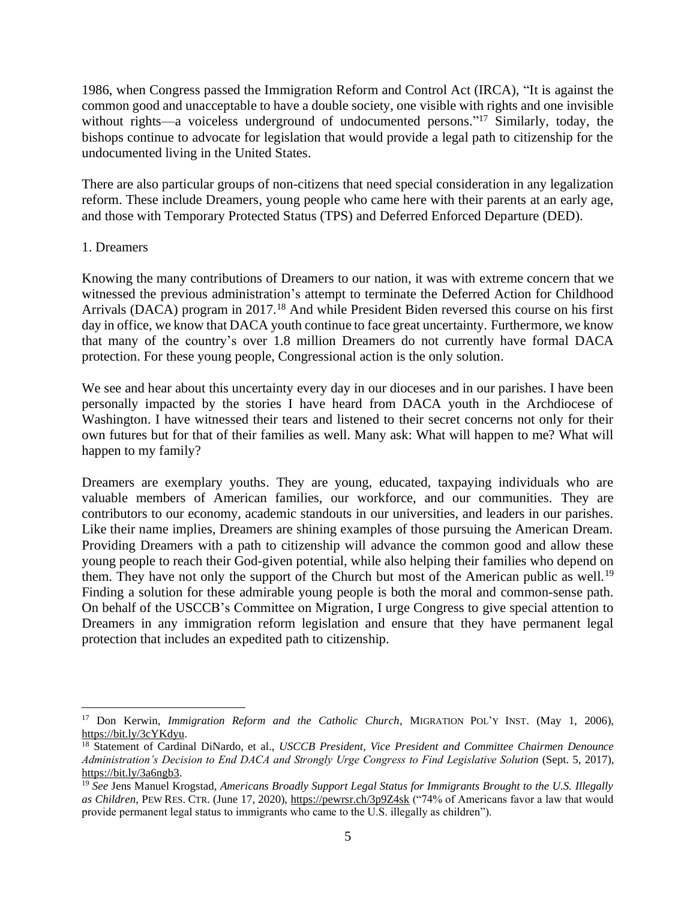1986, when Congress passed the Immigration Reform and Control Act (IRCA), "It is against the common good and unacceptable to have a double society, one visible with rights and one invisible without rights—a voiceless underground of undocumented persons."<sup>17</sup> Similarly, today, the bishops continue to advocate for legislation that would provide a legal path to citizenship for the undocumented living in the United States.

There are also particular groups of non-citizens that need special consideration in any legalization reform. These include Dreamers, young people who came here with their parents at an early age, and those with Temporary Protected Status (TPS) and Deferred Enforced Departure (DED).

#### 1. Dreamers

Knowing the many contributions of Dreamers to our nation, it was with extreme concern that we witnessed the previous administration's attempt to terminate the Deferred Action for Childhood Arrivals (DACA) program in 2017.<sup>18</sup> And while President Biden reversed this course on his first day in office, we know that DACA youth continue to face great uncertainty. Furthermore, we know that many of the country's over 1.8 million Dreamers do not currently have formal DACA protection. For these young people, Congressional action is the only solution.

We see and hear about this uncertainty every day in our dioceses and in our parishes. I have been personally impacted by the stories I have heard from DACA youth in the Archdiocese of Washington. I have witnessed their tears and listened to their secret concerns not only for their own futures but for that of their families as well. Many ask: What will happen to me? What will happen to my family?

Dreamers are exemplary youths. They are young, educated, taxpaying individuals who are valuable members of American families, our workforce, and our communities. They are contributors to our economy, academic standouts in our universities, and leaders in our parishes. Like their name implies, Dreamers are shining examples of those pursuing the American Dream. Providing Dreamers with a path to citizenship will advance the common good and allow these young people to reach their God-given potential, while also helping their families who depend on them. They have not only the support of the Church but most of the American public as well.<sup>19</sup> Finding a solution for these admirable young people is both the moral and common-sense path. On behalf of the USCCB's Committee on Migration, I urge Congress to give special attention to Dreamers in any immigration reform legislation and ensure that they have permanent legal protection that includes an expedited path to citizenship.

<sup>17</sup> Don Kerwin, *Immigration Reform and the Catholic Church*, MIGRATION POL'Y INST. (May 1, 2006), [https://bit.ly/3cYKdyu.](https://bit.ly/3cYKdyu)

<sup>18</sup> Statement of Cardinal DiNardo, et al., *USCCB President, Vice President and Committee Chairmen Denounce Administration's Decision to End DACA and Strongly Urge Congress to Find Legislative Solution* (Sept. 5, 2017), [https://bit.ly/3a6ngb3.](https://bit.ly/3a6ngb3)

<sup>19</sup> *See* Jens Manuel Krogstad, *Americans Broadly Support Legal Status for Immigrants Brought to the U.S. Illegally as Children*, PEW RES. CTR. (June 17, 2020)[, https://pewrsr.ch/3p9Z4sk](https://pewrsr.ch/3p9Z4sk) ("74% of Americans favor a law that would provide permanent legal status to immigrants who came to the U.S. illegally as children").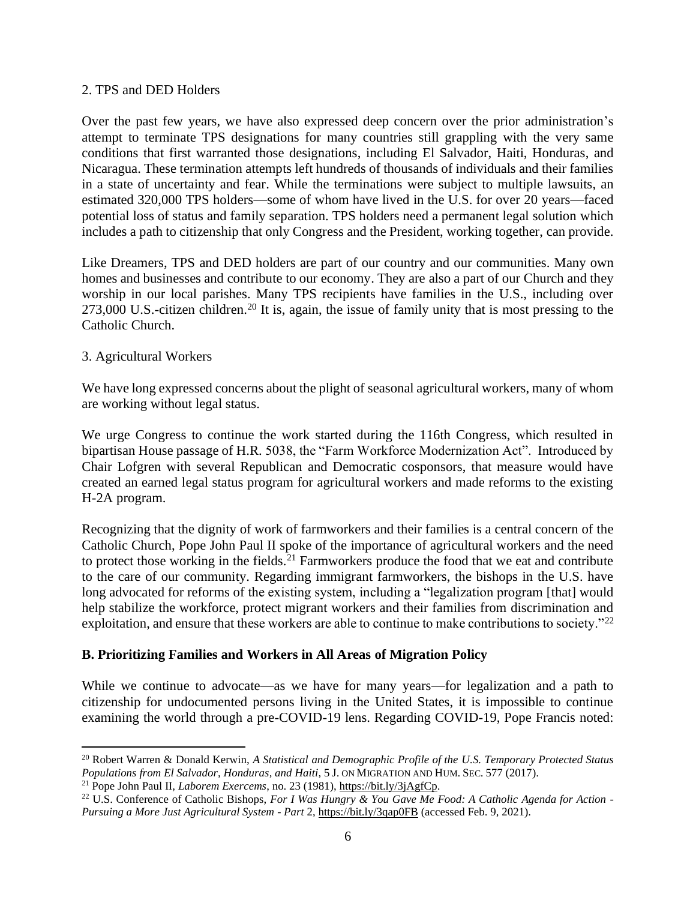#### 2. TPS and DED Holders

Over the past few years, we have also expressed deep concern over the prior administration's attempt to terminate TPS designations for many countries still grappling with the very same conditions that first warranted those designations, including El Salvador, Haiti, Honduras, and Nicaragua. These termination attempts left hundreds of thousands of individuals and their families in a state of uncertainty and fear. While the terminations were subject to multiple lawsuits, an estimated 320,000 TPS holders—some of whom have lived in the U.S. for over 20 years—faced potential loss of status and family separation. TPS holders need a permanent legal solution which includes a path to citizenship that only Congress and the President, working together, can provide.

Like Dreamers, TPS and DED holders are part of our country and our communities. Many own homes and businesses and contribute to our economy. They are also a part of our Church and they worship in our local parishes. Many TPS recipients have families in the U.S., including over 273,000 U.S.-citizen children.<sup>20</sup> It is, again, the issue of family unity that is most pressing to the Catholic Church.

#### 3. Agricultural Workers

We have long expressed concerns about the plight of seasonal agricultural workers, many of whom are working without legal status.

We urge Congress to continue the work started during the 116th Congress, which resulted in bipartisan House passage of H.R. 5038, the "Farm Workforce Modernization Act". Introduced by Chair Lofgren with several Republican and Democratic cosponsors, that measure would have created an earned legal status program for agricultural workers and made reforms to the existing H-2A program.

Recognizing that the dignity of work of farmworkers and their families is a central concern of the Catholic Church, Pope John Paul II spoke of the importance of agricultural workers and the need to protect those working in the fields.<sup>21</sup> Farmworkers produce the food that we eat and contribute to the care of our community. Regarding immigrant farmworkers, the bishops in the U.S. have long advocated for reforms of the existing system, including a "legalization program [that] would help stabilize the workforce, protect migrant workers and their families from discrimination and exploitation, and ensure that these workers are able to continue to make contributions to society."<sup>22</sup>

# **B. Prioritizing Families and Workers in All Areas of Migration Policy**

While we continue to advocate—as we have for many years—for legalization and a path to citizenship for undocumented persons living in the United States, it is impossible to continue examining the world through a pre-COVID-19 lens. Regarding COVID-19, Pope Francis noted:

<sup>20</sup> Robert Warren & Donald Kerwin, *A Statistical and Demographic Profile of the U.S. Temporary Protected Status Populations from El Salvador, Honduras, and Haiti*, 5 J. ON MIGRATION AND HUM.SEC. 577 (2017).

<sup>21</sup> Pope John Paul II, *Laborem Exercems*, no. 23 (1981)[, https://bit.ly/3jAgfCp.](https://bit.ly/3jAgfCp)

<sup>22</sup> U.S. Conference of Catholic Bishops, *For I Was Hungry & You Gave Me Food: A Catholic Agenda for Action - Pursuing a More Just Agricultural System - Part* 2,<https://bit.ly/3qap0FB> (accessed Feb. 9, 2021).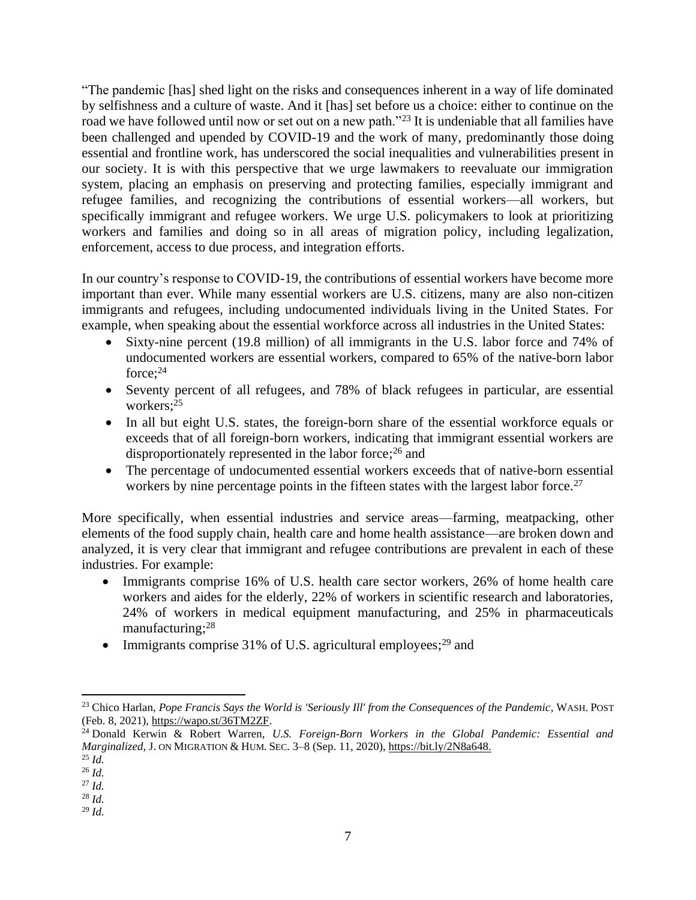"The pandemic [has] shed light on the risks and consequences inherent in a way of life dominated by selfishness and a culture of waste. And it [has] set before us a choice: either to continue on the road we have followed until now or set out on a new path."<sup>23</sup> It is undeniable that all families have been challenged and upended by COVID-19 and the work of many, predominantly those doing essential and frontline work, has underscored the social inequalities and vulnerabilities present in our society. It is with this perspective that we urge lawmakers to reevaluate our immigration system, placing an emphasis on preserving and protecting families, especially immigrant and refugee families, and recognizing the contributions of essential workers—all workers, but specifically immigrant and refugee workers. We urge U.S. policymakers to look at prioritizing workers and families and doing so in all areas of migration policy, including legalization, enforcement, access to due process, and integration efforts.

In our country's response to COVID-19, the contributions of essential workers have become more important than ever. While many essential workers are U.S. citizens, many are also non-citizen immigrants and refugees, including undocumented individuals living in the United States. For example, when speaking about the essential workforce across all industries in the United States:

- Sixty-nine percent (19.8 million) of all immigrants in the U.S. labor force and 74% of undocumented workers are essential workers, compared to 65% of the native-born labor force; 24
- Seventy percent of all refugees, and 78% of black refugees in particular, are essential workers; 25
- In all but eight U.S. states, the foreign-born share of the essential workforce equals or exceeds that of all foreign-born workers, indicating that immigrant essential workers are disproportionately represented in the labor force;<sup>26</sup> and
- The percentage of undocumented essential workers exceeds that of native-born essential workers by nine percentage points in the fifteen states with the largest labor force.<sup>27</sup>

More specifically, when essential industries and service areas—farming, meatpacking, other elements of the food supply chain, health care and home health assistance—are broken down and analyzed, it is very clear that immigrant and refugee contributions are prevalent in each of these industries. For example:

- Immigrants comprise 16% of U.S. health care sector workers, 26% of home health care workers and aides for the elderly, 22% of workers in scientific research and laboratories, 24% of workers in medical equipment manufacturing, and 25% in pharmaceuticals manufacturing;<sup>28</sup>
- Immigrants comprise 31% of U.S. agricultural employees;<sup>29</sup> and

<sup>&</sup>lt;sup>23</sup> Chico Harlan, *Pope Francis Says the World is 'Seriously Ill' from the Consequences of the Pandemic*, WASH. POST (Feb. 8, 2021)[, https://wapo.st/36TM2ZF.](https://wapo.st/36TM2ZF)

<sup>24</sup> Donald Kerwin & Robert Warren, *U.S. Foreign-Born Workers in the Global Pandemic: Essential and Marginalized*, J. ON MIGRATION & HUM.SEC. 3–8 (Sep. 11, 2020)[, https://bit.ly/2N8a648.](https://bit.ly/2N8a648)

<sup>25</sup> *Id.*

<sup>26</sup> *Id.* <sup>27</sup> *Id.*

<sup>28</sup> *Id.*

<sup>29</sup> *Id.*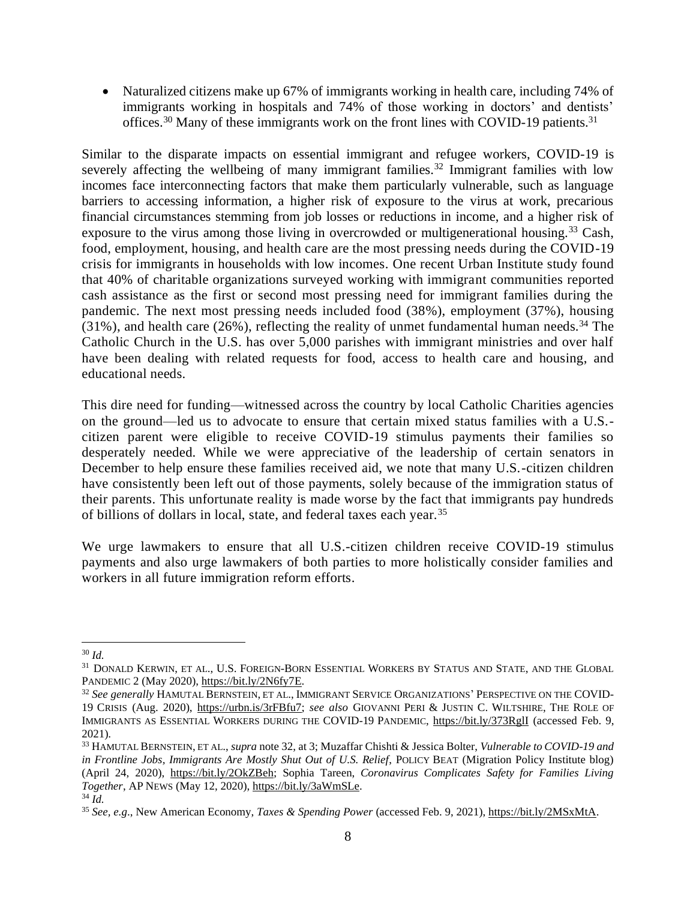• Naturalized citizens make up 67% of immigrants working in health care, including 74% of immigrants working in hospitals and 74% of those working in doctors' and dentists' offices.<sup>30</sup> Many of these immigrants work on the front lines with COVID-19 patients.<sup>31</sup>

Similar to the disparate impacts on essential immigrant and refugee workers, COVID-19 is severely affecting the wellbeing of many immigrant families.<sup>32</sup> Immigrant families with low incomes face interconnecting factors that make them particularly vulnerable, such as language barriers to accessing information, a higher risk of exposure to the virus at work, precarious financial circumstances stemming from job losses or reductions in income, and a higher risk of exposure to the virus among those living in overcrowded or multigenerational housing.<sup>33</sup> Cash, food, employment, housing, and health care are the most pressing needs during the COVID-19 crisis for immigrants in households with low incomes. One recent Urban Institute study found that 40% of charitable organizations surveyed working with immigrant communities reported cash assistance as the first or second most pressing need for immigrant families during the pandemic. The next most pressing needs included food (38%), employment (37%), housing (31%), and health care (26%), reflecting the reality of unmet fundamental human needs.<sup>34</sup> The Catholic Church in the U.S. has over 5,000 parishes with immigrant ministries and over half have been dealing with related requests for food, access to health care and housing, and educational needs.

This dire need for funding—witnessed across the country by local Catholic Charities agencies on the ground—led us to advocate to ensure that certain mixed status families with a U.S. citizen parent were eligible to receive COVID-19 stimulus payments their families so desperately needed. While we were appreciative of the leadership of certain senators in December to help ensure these families received aid, we note that many U.S.-citizen children have consistently been left out of those payments, solely because of the immigration status of their parents. This unfortunate reality is made worse by the fact that immigrants pay hundreds of billions of dollars in local, state, and federal taxes each year.<sup>35</sup>

We urge lawmakers to ensure that all U.S.-citizen children receive COVID-19 stimulus payments and also urge lawmakers of both parties to more holistically consider families and workers in all future immigration reform efforts.

<sup>30</sup> *Id.*

 $^{31}$  DONALD KERWIN, ET AL., U.S. FOREIGN-BORN ESSENTIAL WORKERS BY STATUS AND STATE, AND THE GLOBAL PANDEMIC 2 (May 2020), [https://bit.ly/2N6fy7E.](https://bit.ly/2N6fy7E)

<sup>32</sup> *See generally* HAMUTAL BERNSTEIN, ET AL., IMMIGRANT SERVICE ORGANIZATIONS'PERSPECTIVE ON THE COVID-19 CRISIS (Aug. 2020), [https://urbn.is/3rFBfu7;](https://urbn.is/3rFBfu7) *see also* GIOVANNI PERI & JUSTIN C. WILTSHIRE, THE ROLE OF IMMIGRANTS AS ESSENTIAL WORKERS DURING THE COVID-19 PANDEMIC,<https://bit.ly/373RglI> (accessed Feb. 9, 2021).

<sup>33</sup> HAMUTAL BERNSTEIN, ET AL., *supra* note 32, at 3; Muzaffar Chishti & Jessica Bolter, *Vulnerable to COVID-19 and in Frontline Jobs, Immigrants Are Mostly Shut Out of U.S. Relief*, POLICY BEAT (Migration Policy Institute blog) (April 24, 2020), [https://bit.ly/2OkZBeh;](https://bit.ly/2OkZBeh) Sophia Tareen, *Coronavirus Complicates Safety for Families Living Together*, AP NEWS (May 12, 2020), [https://bit.ly/3aWmSLe.](https://bit.ly/3aWmSLe)

<sup>34</sup> *Id.*

<sup>35</sup> *See, e.g*., New American Economy, *Taxes & Spending Power* (accessed Feb. 9, 2021)[, https://bit.ly/2MSxMtA.](https://bit.ly/2MSxMtA)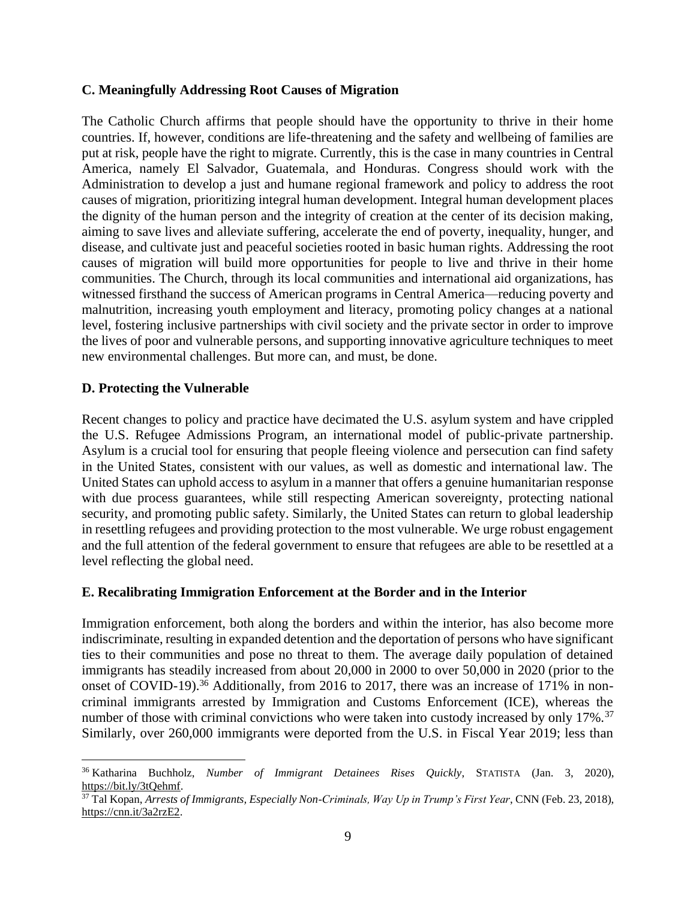#### **C. Meaningfully Addressing Root Causes of Migration**

The Catholic Church affirms that people should have the opportunity to thrive in their home countries. If, however, conditions are life-threatening and the safety and wellbeing of families are put at risk, people have the right to migrate. Currently, this is the case in many countries in Central America, namely El Salvador, Guatemala, and Honduras. Congress should work with the Administration to develop a just and humane regional framework and policy to address the root causes of migration, prioritizing integral human development. Integral human development places the dignity of the human person and the integrity of creation at the center of its decision making, aiming to save lives and alleviate suffering, accelerate the end of poverty, inequality, hunger, and disease, and cultivate just and peaceful societies rooted in basic human rights. Addressing the root causes of migration will build more opportunities for people to live and thrive in their home communities. The Church, through its local communities and international aid organizations, has witnessed firsthand the success of American programs in Central America—reducing poverty and malnutrition, increasing youth employment and literacy, promoting policy changes at a national level, fostering inclusive partnerships with civil society and the private sector in order to improve the lives of poor and vulnerable persons, and supporting innovative agriculture techniques to meet new environmental challenges. But more can, and must, be done.

#### **D. Protecting the Vulnerable**

Recent changes to policy and practice have decimated the U.S. asylum system and have crippled the U.S. Refugee Admissions Program, an international model of public-private partnership. Asylum is a crucial tool for ensuring that people fleeing violence and persecution can find safety in the United States, consistent with our values, as well as domestic and international law. The United States can uphold access to asylum in a manner that offers a genuine humanitarian response with due process guarantees, while still respecting American sovereignty, protecting national security, and promoting public safety. Similarly, the United States can return to global leadership in resettling refugees and providing protection to the most vulnerable. We urge robust engagement and the full attention of the federal government to ensure that refugees are able to be resettled at a level reflecting the global need.

#### **E. Recalibrating Immigration Enforcement at the Border and in the Interior**

Immigration enforcement, both along the borders and within the interior, has also become more indiscriminate, resulting in expanded detention and the deportation of persons who have significant ties to their communities and pose no threat to them. The average daily population of detained immigrants has steadily increased from about 20,000 in 2000 to over 50,000 in 2020 (prior to the onset of COVID-19).<sup>36</sup> Additionally, from 2016 to 2017, there was an increase of 171% in noncriminal immigrants arrested by Immigration and Customs Enforcement (ICE), whereas the number of those with criminal convictions who were taken into custody increased by only 17%.<sup>37</sup> Similarly, over 260,000 immigrants were deported from the U.S. in Fiscal Year 2019; less than

<sup>36</sup> Katharina Buchholz, *Number of Immigrant Detainees Rises Quickly*, STATISTA (Jan. 3, 2020), [https://bit.ly/3tQehmf.](https://bit.ly/3tQehmf)

<sup>37</sup> Tal Kopan, *Arrests of Immigrants, Especially Non-Criminals, Way Up in Trump's First Year*, CNN (Feb. 23, 2018), [https://cnn.it/3a2rzE2.](https://cnn.it/3a2rzE2)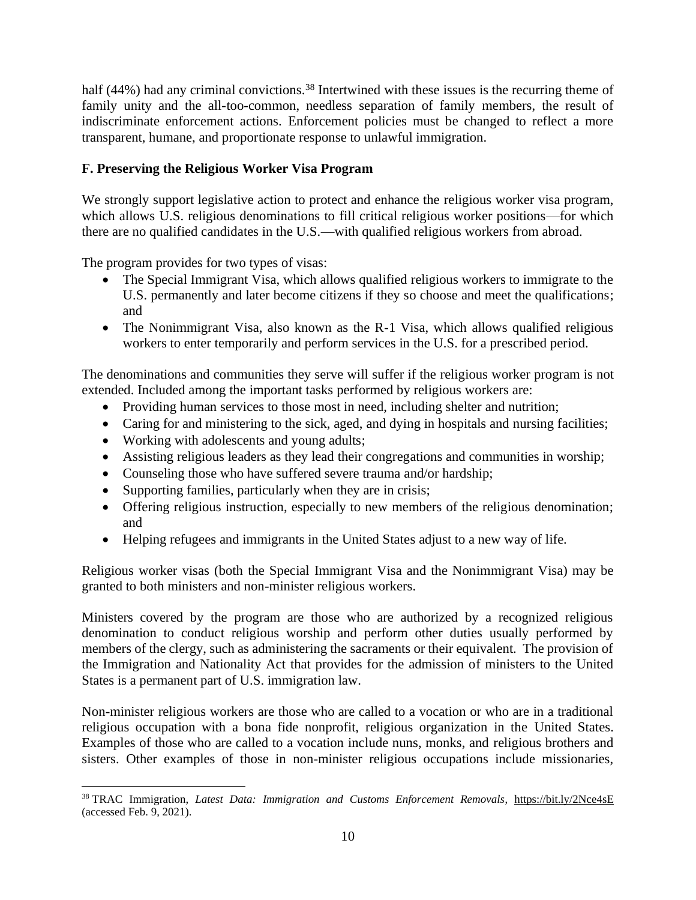half (44%) had any criminal convictions.<sup>38</sup> Intertwined with these issues is the recurring theme of family unity and the all-too-common, needless separation of family members, the result of indiscriminate enforcement actions. Enforcement policies must be changed to reflect a more transparent, humane, and proportionate response to unlawful immigration.

# **F. Preserving the Religious Worker Visa Program**

We strongly support legislative action to protect and enhance the religious worker visa program, which allows U.S. religious denominations to fill critical religious worker positions—for which there are no qualified candidates in the U.S.—with qualified religious workers from abroad.

The program provides for two types of visas:

- The Special Immigrant Visa, which allows qualified religious workers to immigrate to the U.S. permanently and later become citizens if they so choose and meet the qualifications; and
- The Nonimmigrant Visa, also known as the R-1 Visa, which allows qualified religious workers to enter temporarily and perform services in the U.S. for a prescribed period.

The denominations and communities they serve will suffer if the religious worker program is not extended. Included among the important tasks performed by religious workers are:

- Providing human services to those most in need, including shelter and nutrition;
- Caring for and ministering to the sick, aged, and dying in hospitals and nursing facilities;
- Working with adolescents and young adults;
- Assisting religious leaders as they lead their congregations and communities in worship;
- Counseling those who have suffered severe trauma and/or hardship;
- Supporting families, particularly when they are in crisis;
- Offering religious instruction, especially to new members of the religious denomination; and
- Helping refugees and immigrants in the United States adjust to a new way of life.

Religious worker visas (both the Special Immigrant Visa and the Nonimmigrant Visa) may be granted to both ministers and non-minister religious workers.

Ministers covered by the program are those who are authorized by a recognized religious denomination to conduct religious worship and perform other duties usually performed by members of the clergy, such as administering the sacraments or their equivalent. The provision of the Immigration and Nationality Act that provides for the admission of ministers to the United States is a permanent part of U.S. immigration law.

Non-minister religious workers are those who are called to a vocation or who are in a traditional religious occupation with a bona fide nonprofit, religious organization in the United States. Examples of those who are called to a vocation include nuns, monks, and religious brothers and sisters. Other examples of those in non-minister religious occupations include missionaries,

<sup>38</sup> TRAC Immigration, *Latest Data: Immigration and Customs Enforcement Removals*, <https://bit.ly/2Nce4sE> (accessed Feb. 9, 2021).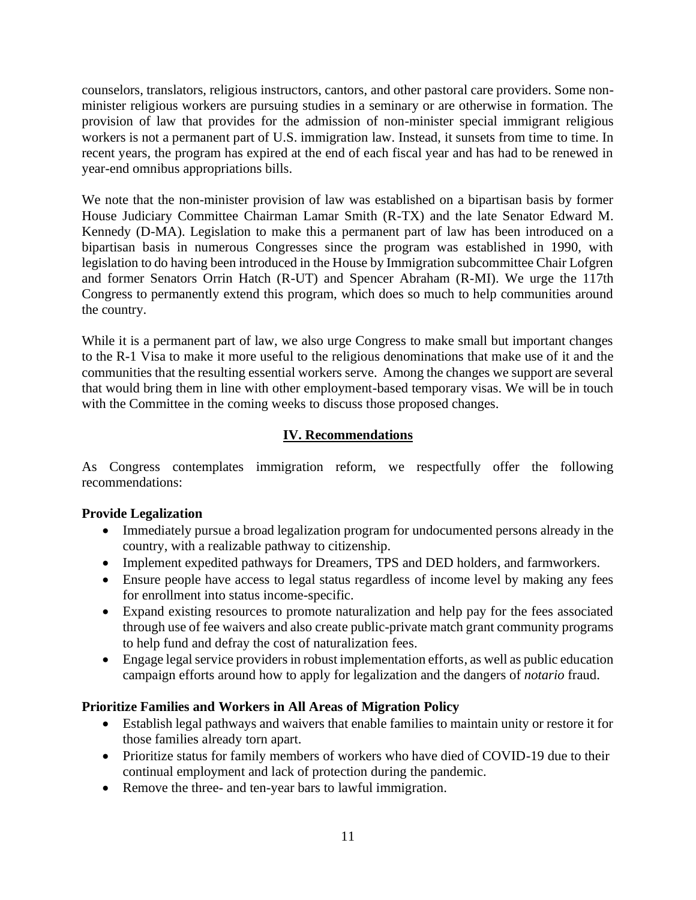counselors, translators, religious instructors, cantors, and other pastoral care providers. Some nonminister religious workers are pursuing studies in a seminary or are otherwise in formation. The provision of law that provides for the admission of non-minister special immigrant religious workers is not a permanent part of U.S. immigration law. Instead, it sunsets from time to time. In recent years, the program has expired at the end of each fiscal year and has had to be renewed in year-end omnibus appropriations bills.

We note that the non-minister provision of law was established on a bipartisan basis by former House Judiciary Committee Chairman Lamar Smith (R-TX) and the late Senator Edward M. Kennedy (D-MA). Legislation to make this a permanent part of law has been introduced on a bipartisan basis in numerous Congresses since the program was established in 1990, with legislation to do having been introduced in the House by Immigration subcommittee Chair Lofgren and former Senators Orrin Hatch (R-UT) and Spencer Abraham (R-MI). We urge the 117th Congress to permanently extend this program, which does so much to help communities around the country.

While it is a permanent part of law, we also urge Congress to make small but important changes to the R-1 Visa to make it more useful to the religious denominations that make use of it and the communities that the resulting essential workers serve. Among the changes we support are several that would bring them in line with other employment-based temporary visas. We will be in touch with the Committee in the coming weeks to discuss those proposed changes.

# **IV. Recommendations**

As Congress contemplates immigration reform, we respectfully offer the following recommendations:

# **Provide Legalization**

- Immediately pursue a broad legalization program for undocumented persons already in the country, with a realizable pathway to citizenship.
- Implement expedited pathways for Dreamers, TPS and DED holders, and farmworkers.
- Ensure people have access to legal status regardless of income level by making any fees for enrollment into status income-specific.
- Expand existing resources to promote naturalization and help pay for the fees associated through use of fee waivers and also create public-private match grant community programs to help fund and defray the cost of naturalization fees.
- Engage legal service providers in robust implementation efforts, as well as public education campaign efforts around how to apply for legalization and the dangers of *notario* fraud.

# **Prioritize Families and Workers in All Areas of Migration Policy**

- Establish legal pathways and waivers that enable families to maintain unity or restore it for those families already torn apart.
- Prioritize status for family members of workers who have died of COVID-19 due to their continual employment and lack of protection during the pandemic.
- Remove the three- and ten-year bars to lawful immigration.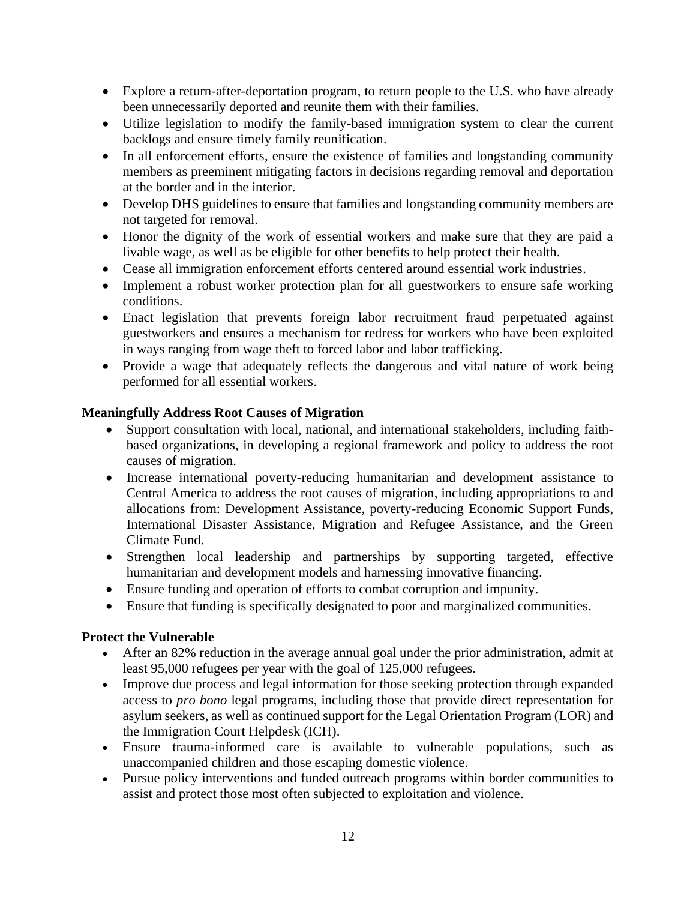- Explore a return-after-deportation program, to return people to the U.S. who have already been unnecessarily deported and reunite them with their families.
- Utilize legislation to modify the family-based immigration system to clear the current backlogs and ensure timely family reunification.
- In all enforcement efforts, ensure the existence of families and longstanding community members as preeminent mitigating factors in decisions regarding removal and deportation at the border and in the interior.
- Develop DHS guidelines to ensure that families and longstanding community members are not targeted for removal.
- Honor the dignity of the work of essential workers and make sure that they are paid a livable wage, as well as be eligible for other benefits to help protect their health.
- Cease all immigration enforcement efforts centered around essential work industries.
- Implement a robust worker protection plan for all guestworkers to ensure safe working conditions.
- Enact legislation that prevents foreign labor recruitment fraud perpetuated against guestworkers and ensures a mechanism for redress for workers who have been exploited in ways ranging from wage theft to forced labor and labor trafficking.
- Provide a wage that adequately reflects the dangerous and vital nature of work being performed for all essential workers.

# **Meaningfully Address Root Causes of Migration**

- Support consultation with local, national, and international stakeholders, including faithbased organizations, in developing a regional framework and policy to address the root causes of migration.
- Increase international poverty-reducing humanitarian and development assistance to Central America to address the root causes of migration, including appropriations to and allocations from: Development Assistance, poverty-reducing Economic Support Funds, International Disaster Assistance, Migration and Refugee Assistance, and the Green Climate Fund.
- Strengthen local leadership and partnerships by supporting targeted, effective humanitarian and development models and harnessing innovative financing.
- Ensure funding and operation of efforts to combat corruption and impunity.
- Ensure that funding is specifically designated to poor and marginalized communities.

# **Protect the Vulnerable**

- After an 82% reduction in the average annual goal under the prior administration, admit at least 95,000 refugees per year with the goal of 125,000 refugees.
- Improve due process and legal information for those seeking protection through expanded access to *pro bono* legal programs, including those that provide direct representation for asylum seekers, as well as continued support for the Legal Orientation Program (LOR) and the Immigration Court Helpdesk (ICH).
- Ensure trauma-informed care is available to vulnerable populations, such as unaccompanied children and those escaping domestic violence.
- Pursue policy interventions and funded outreach programs within border communities to assist and protect those most often subjected to exploitation and violence.